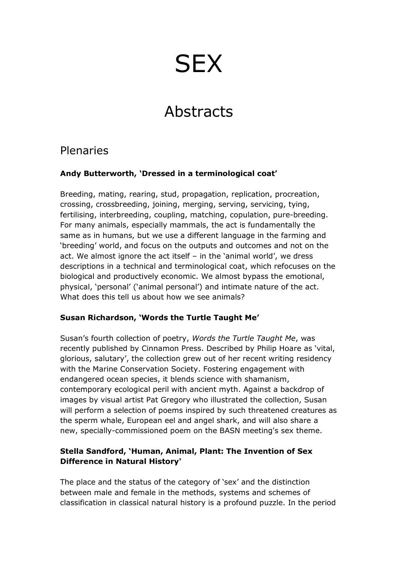# **SEX**

## Abstracts

## Plenaries

#### **Andy Butterworth, 'Dressed in a terminological coat'**

Breeding, mating, rearing, stud, propagation, replication, procreation, crossing, crossbreeding, joining, merging, serving, servicing, tying, fertilising, interbreeding, coupling, matching, copulation, pure-breeding. For many animals, especially mammals, the act is fundamentally the same as in humans, but we use a different language in the farming and 'breeding' world, and focus on the outputs and outcomes and not on the act. We almost ignore the act itself – in the 'animal world', we dress descriptions in a technical and terminological coat, which refocuses on the biological and productively economic. We almost bypass the emotional, physical, 'personal' ('animal personal') and intimate nature of the act. What does this tell us about how we see animals?

#### **Susan Richardson, 'Words the Turtle Taught Me'**

Susan's fourth collection of poetry, *Words the Turtle Taught Me*, was recently published by Cinnamon Press. Described by Philip Hoare as 'vital, glorious, salutary', the collection grew out of her recent writing residency with the Marine Conservation Society. Fostering engagement with endangered ocean species, it blends science with shamanism, contemporary ecological peril with ancient myth. Against a backdrop of images by visual artist Pat Gregory who illustrated the collection, Susan will perform a selection of poems inspired by such threatened creatures as the sperm whale, European eel and angel shark, and will also share a new, specially-commissioned poem on the BASN meeting's sex theme.

#### **Stella Sandford, 'Human, Animal, Plant: The Invention of Sex Difference in Natural History'**

The place and the status of the category of 'sex' and the distinction between male and female in the methods, systems and schemes of classification in classical natural history is a profound puzzle. In the period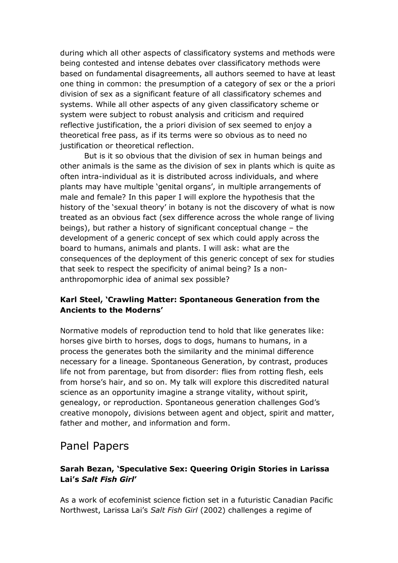during which all other aspects of classificatory systems and methods were being contested and intense debates over classificatory methods were based on fundamental disagreements, all authors seemed to have at least one thing in common: the presumption of a category of sex or the a priori division of sex as a significant feature of all classificatory schemes and systems. While all other aspects of any given classificatory scheme or system were subject to robust analysis and criticism and required reflective justification, the a priori division of sex seemed to enjoy a theoretical free pass, as if its terms were so obvious as to need no justification or theoretical reflection.

But is it so obvious that the division of sex in human beings and other animals is the same as the division of sex in plants which is quite as often intra-individual as it is distributed across individuals, and where plants may have multiple 'genital organs', in multiple arrangements of male and female? In this paper I will explore the hypothesis that the history of the 'sexual theory' in botany is not the discovery of what is now treated as an obvious fact (sex difference across the whole range of living beings), but rather a history of significant conceptual change – the development of a generic concept of sex which could apply across the board to humans, animals and plants. I will ask: what are the consequences of the deployment of this generic concept of sex for studies that seek to respect the specificity of animal being? Is a nonanthropomorphic idea of animal sex possible?

#### **Karl Steel, 'Crawling Matter: Spontaneous Generation from the Ancients to the Moderns'**

Normative models of reproduction tend to hold that like generates like: horses give birth to horses, dogs to dogs, humans to humans, in a process the generates both the similarity and the minimal difference necessary for a lineage. Spontaneous Generation, by contrast, produces life not from parentage, but from disorder: flies from rotting flesh, eels from horse's hair, and so on. My talk will explore this discredited natural science as an opportunity imagine a strange vitality, without spirit, genealogy, or reproduction. Spontaneous generation challenges God's creative monopoly, divisions between agent and object, spirit and matter, father and mother, and information and form.

## Panel Papers

#### **Sarah Bezan, 'Speculative Sex: Queering Origin Stories in Larissa Lai's** *Salt Fish Girl***'**

As a work of ecofeminist science fiction set in a futuristic Canadian Pacific Northwest, Larissa Lai's *Salt Fish Girl* (2002) challenges a regime of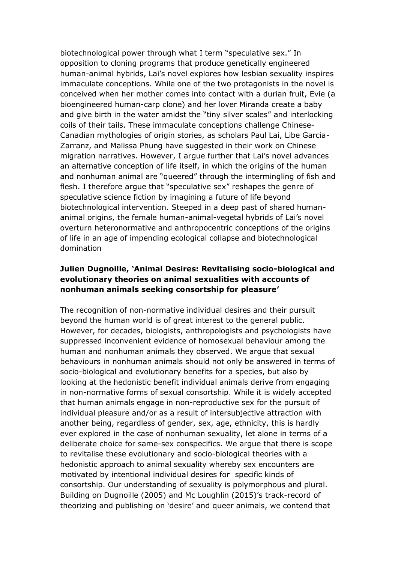biotechnological power through what I term "speculative sex." In opposition to cloning programs that produce genetically engineered human-animal hybrids, Lai's novel explores how lesbian sexuality inspires immaculate conceptions. While one of the two protagonists in the novel is conceived when her mother comes into contact with a durian fruit, Evie (a bioengineered human-carp clone) and her lover Miranda create a baby and give birth in the water amidst the "tiny silver scales" and interlocking coils of their tails. These immaculate conceptions challenge Chinese-Canadian mythologies of origin stories, as scholars Paul Lai, Libe Garcia-Zarranz, and Malissa Phung have suggested in their work on Chinese migration narratives. However, I argue further that Lai's novel advances an alternative conception of life itself, in which the origins of the human and nonhuman animal are "queered" through the intermingling of fish and flesh. I therefore argue that "speculative sex" reshapes the genre of speculative science fiction by imagining a future of life beyond biotechnological intervention. Steeped in a deep past of shared humananimal origins, the female human-animal-vegetal hybrids of Lai's novel overturn heteronormative and anthropocentric conceptions of the origins of life in an age of impending ecological collapse and biotechnological domination

#### **Julien Dugnoille, 'Animal Desires: Revitalising socio-biological and evolutionary theories on animal sexualities with accounts of nonhuman animals seeking consortship for pleasure'**

The recognition of non-normative individual desires and their pursuit beyond the human world is of great interest to the general public. However, for decades, biologists, anthropologists and psychologists have suppressed inconvenient evidence of homosexual behaviour among the human and nonhuman animals they observed. We argue that sexual behaviours in nonhuman animals should not only be answered in terms of socio-biological and evolutionary benefits for a species, but also by looking at the hedonistic benefit individual animals derive from engaging in non-normative forms of sexual consortship. While it is widely accepted that human animals engage in non-reproductive sex for the pursuit of individual pleasure and/or as a result of intersubjective attraction with another being, regardless of gender, sex, age, ethnicity, this is hardly ever explored in the case of nonhuman sexuality, let alone in terms of a deliberate choice for same-sex conspecifics. We argue that there is scope to revitalise these evolutionary and socio-biological theories with a hedonistic approach to animal sexuality whereby sex encounters are motivated by intentional individual desires for specific kinds of consortship. Our understanding of sexuality is polymorphous and plural. Building on Dugnoille (2005) and Mc Loughlin (2015)'s track-record of theorizing and publishing on 'desire' and queer animals, we contend that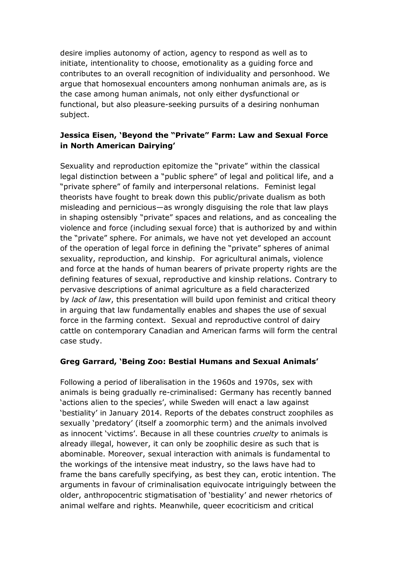desire implies autonomy of action, agency to respond as well as to initiate, intentionality to choose, emotionality as a guiding force and contributes to an overall recognition of individuality and personhood. We argue that homosexual encounters among nonhuman animals are, as is the case among human animals, not only either dysfunctional or functional, but also pleasure-seeking pursuits of a desiring nonhuman subject.

#### **Jessica Eisen, 'Beyond the "Private" Farm: Law and Sexual Force in North American Dairying'**

Sexuality and reproduction epitomize the "private" within the classical legal distinction between a "public sphere" of legal and political life, and a "private sphere" of family and interpersonal relations. Feminist legal theorists have fought to break down this public/private dualism as both misleading and pernicious—as wrongly disguising the role that law plays in shaping ostensibly "private" spaces and relations, and as concealing the violence and force (including sexual force) that is authorized by and within the "private" sphere. For animals, we have not yet developed an account of the operation of legal force in defining the "private" spheres of animal sexuality, reproduction, and kinship. For agricultural animals, violence and force at the hands of human bearers of private property rights are the defining features of sexual, reproductive and kinship relations. Contrary to pervasive descriptions of animal agriculture as a field characterized by *lack of law*, this presentation will build upon feminist and critical theory in arguing that law fundamentally enables and shapes the use of sexual force in the farming context. Sexual and reproductive control of dairy cattle on contemporary Canadian and American farms will form the central case study.

#### **Greg Garrard, 'Being Zoo: Bestial Humans and Sexual Animals'**

Following a period of liberalisation in the 1960s and 1970s, sex with animals is being gradually re-criminalised: Germany has recently banned 'actions alien to the species', while Sweden will enact a law against 'bestiality' in January 2014. Reports of the debates construct zoophiles as sexually 'predatory' (itself a zoomorphic term) and the animals involved as innocent 'victims'. Because in all these countries *cruelty* to animals is already illegal, however, it can only be zoophilic desire as such that is abominable. Moreover, sexual interaction with animals is fundamental to the workings of the intensive meat industry, so the laws have had to frame the bans carefully specifying, as best they can, erotic intention. The arguments in favour of criminalisation equivocate intriguingly between the older, anthropocentric stigmatisation of 'bestiality' and newer rhetorics of animal welfare and rights. Meanwhile, queer ecocriticism and critical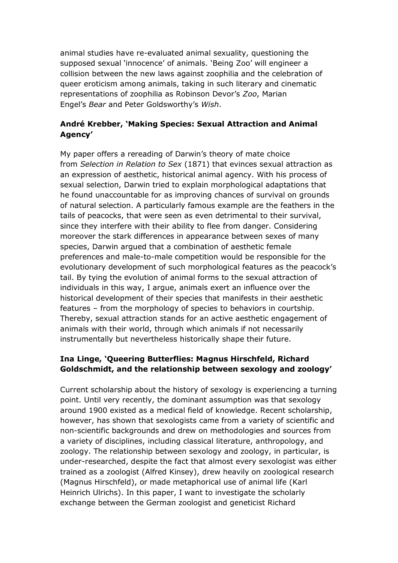animal studies have re-evaluated animal sexuality, questioning the supposed sexual 'innocence' of animals. 'Being Zoo' will engineer a collision between the new laws against zoophilia and the celebration of queer eroticism among animals, taking in such literary and cinematic representations of zoophilia as Robinson Devor's *Zoo*, Marian Engel's *Bear* and Peter Goldsworthy's *Wish*.

#### **André Krebber, 'Making Species: Sexual Attraction and Animal Agency'**

My paper offers a rereading of Darwin's theory of mate choice from *Selection in Relation to Sex* (1871) that evinces sexual attraction as an expression of aesthetic, historical animal agency. With his process of sexual selection, Darwin tried to explain morphological adaptations that he found unaccountable for as improving chances of survival on grounds of natural selection. A particularly famous example are the feathers in the tails of peacocks, that were seen as even detrimental to their survival, since they interfere with their ability to flee from danger. Considering moreover the stark differences in appearance between sexes of many species, Darwin argued that a combination of aesthetic female preferences and male-to-male competition would be responsible for the evolutionary development of such morphological features as the peacock's tail. By tying the evolution of animal forms to the sexual attraction of individuals in this way, I argue, animals exert an influence over the historical development of their species that manifests in their aesthetic features – from the morphology of species to behaviors in courtship. Thereby, sexual attraction stands for an active aesthetic engagement of animals with their world, through which animals if not necessarily instrumentally but nevertheless historically shape their future.

#### **Ina Linge, 'Queering Butterflies: Magnus Hirschfeld, Richard Goldschmidt, and the relationship between sexology and zoology'**

Current scholarship about the history of sexology is experiencing a turning point. Until very recently, the dominant assumption was that sexology around 1900 existed as a medical field of knowledge. Recent scholarship, however, has shown that sexologists came from a variety of scientific and non-scientific backgrounds and drew on methodologies and sources from a variety of disciplines, including classical literature, anthropology, and zoology. The relationship between sexology and zoology, in particular, is under-researched, despite the fact that almost every sexologist was either trained as a zoologist (Alfred Kinsey), drew heavily on zoological research (Magnus Hirschfeld), or made metaphorical use of animal life (Karl Heinrich Ulrichs). In this paper, I want to investigate the scholarly exchange between the German zoologist and geneticist Richard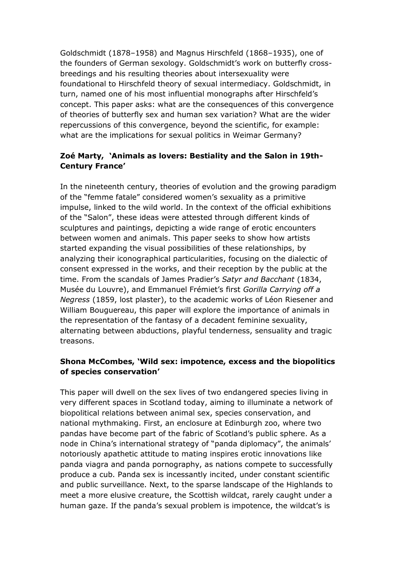Goldschmidt (1878–1958) and Magnus Hirschfeld (1868–1935), one of the founders of German sexology. Goldschmidt's work on butterfly crossbreedings and his resulting theories about intersexuality were foundational to Hirschfeld theory of sexual intermediacy. Goldschmidt, in turn, named one of his most influential monographs after Hirschfeld's concept. This paper asks: what are the consequences of this convergence of theories of butterfly sex and human sex variation? What are the wider repercussions of this convergence, beyond the scientific, for example: what are the implications for sexual politics in Weimar Germany?

#### **Zoé Marty, 'Animals as lovers: Bestiality and the Salon in 19th-Century France'**

In the nineteenth century, theories of evolution and the growing paradigm of the "femme fatale" considered women's sexuality as a primitive impulse, linked to the wild world. In the context of the official exhibitions of the "Salon", these ideas were attested through different kinds of sculptures and paintings, depicting a wide range of erotic encounters between women and animals. This paper seeks to show how artists started expanding the visual possibilities of these relationships, by analyzing their iconographical particularities, focusing on the dialectic of consent expressed in the works, and their reception by the public at the time. From the scandals of James Pradier's *Satyr and Bacchant* (1834, Musée du Louvre), and Emmanuel Frémiet's first *Gorilla Carrying off a Negress* (1859, lost plaster), to the academic works of Léon Riesener and William Bouguereau, this paper will explore the importance of animals in the representation of the fantasy of a decadent feminine sexuality, alternating between abductions, playful tenderness, sensuality and tragic treasons.

#### **Shona McCombes, 'Wild sex: impotence, excess and the biopolitics of species conservation'**

This paper will dwell on the sex lives of two endangered species living in very different spaces in Scotland today, aiming to illuminate a network of biopolitical relations between animal sex, species conservation, and national mythmaking. First, an enclosure at Edinburgh zoo, where two pandas have become part of the fabric of Scotland's public sphere. As a node in China's international strategy of "panda diplomacy", the animals' notoriously apathetic attitude to mating inspires erotic innovations like panda viagra and panda pornography, as nations compete to successfully produce a cub. Panda sex is incessantly incited, under constant scientific and public surveillance. Next, to the sparse landscape of the Highlands to meet a more elusive creature, the Scottish wildcat, rarely caught under a human gaze. If the panda's sexual problem is impotence, the wildcat's is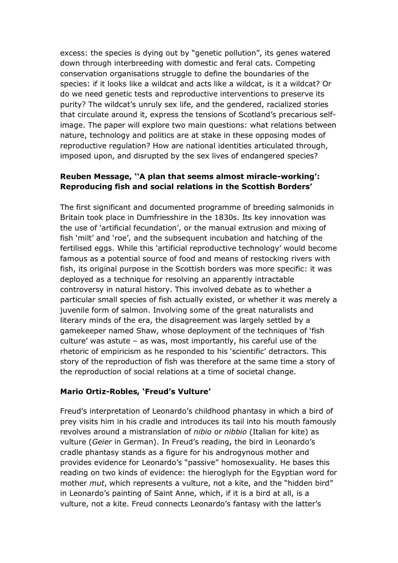excess: the species is dying out by "genetic pollution", its genes watered down through interbreeding with domestic and feral cats. Competing conservation organisations struggle to define the boundaries of the species: if it looks like a wildcat and acts like a wildcat, is it a wildcat? Or do we need genetic tests and reproductive interventions to preserve its purity? The wildcat's unruly sex life, and the gendered, racialized stories that circulate around it, express the tensions of Scotland's precarious selfimage. The paper will explore two main questions: what relations between nature, technology and politics are at stake in these opposing modes of reproductive regulation? How are national identities articulated through, imposed upon, and disrupted by the sex lives of endangered species?

#### **Reuben Message, ''A plan that seems almost miracle-working': Reproducing fish and social relations in the Scottish Borders'**

The first significant and documented programme of breeding salmonids in Britain took place in Dumfriesshire in the 1830s. Its key innovation was the use of 'artificial fecundation', or the manual extrusion and mixing of fish 'milt' and 'roe', and the subsequent incubation and hatching of the fertilised eggs. While this 'artificial reproductive technology' would become famous as a potential source of food and means of restocking rivers with fish, its original purpose in the Scottish borders was more specific: it was deployed as a technique for resolving an apparently intractable controversy in natural history. This involved debate as to whether a particular small species of fish actually existed, or whether it was merely a juvenile form of salmon. Involving some of the great naturalists and literary minds of the era, the disagreement was largely settled by a gamekeeper named Shaw, whose deployment of the techniques of 'fish culture' was astute – as was, most importantly, his careful use of the rhetoric of empiricism as he responded to his 'scientific' detractors. This story of the reproduction of fish was therefore at the same time a story of the reproduction of social relations at a time of societal change.

#### **Mario Ortiz-Robles, 'Freud's Vulture'**

Freud's interpretation of Leonardo's childhood phantasy in which a bird of prey visits him in his cradle and introduces its tail into his mouth famously revolves around a mistranslation of *nibio* or *nibbio* (Italian for kite) as vulture (*Geier* in German). In Freud's reading, the bird in Leonardo's cradle phantasy stands as a figure for his androgynous mother and provides evidence for Leonardo's "passive" homosexuality. He bases this reading on two kinds of evidence: the hieroglyph for the Egyptian word for mother *mut*, which represents a vulture, not a kite, and the "hidden bird" in Leonardo's painting of Saint Anne, which, if it is a bird at all, is a vulture, not a kite. Freud connects Leonardo's fantasy with the latter's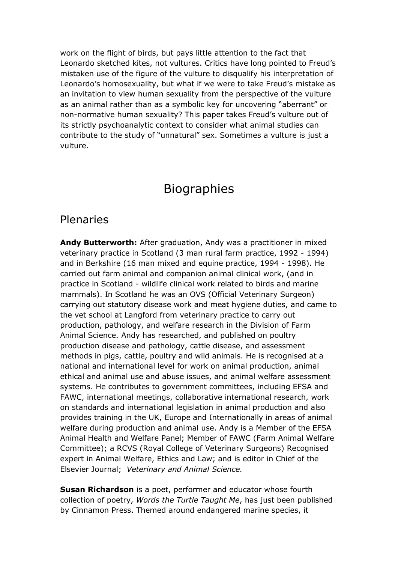work on the flight of birds, but pays little attention to the fact that Leonardo sketched kites, not vultures. Critics have long pointed to Freud's mistaken use of the figure of the vulture to disqualify his interpretation of Leonardo's homosexuality, but what if we were to take Freud's mistake as an invitation to view human sexuality from the perspective of the vulture as an animal rather than as a symbolic key for uncovering "aberrant" or non-normative human sexuality? This paper takes Freud's vulture out of its strictly psychoanalytic context to consider what animal studies can contribute to the study of "unnatural" sex. Sometimes a vulture is just a vulture.

## Biographies

## Plenaries

**Andy Butterworth:** After graduation, Andy was a practitioner in mixed veterinary practice in Scotland (3 man rural farm practice, 1992 - 1994) and in Berkshire (16 man mixed and equine practice, 1994 - 1998). He carried out farm animal and companion animal clinical work, (and in practice in Scotland - wildlife clinical work related to birds and marine mammals). In Scotland he was an OVS (Official Veterinary Surgeon) carrying out statutory disease work and meat hygiene duties, and came to the vet school at Langford from veterinary practice to carry out production, pathology, and welfare research in the Division of Farm Animal Science. Andy has researched, and published on poultry production disease and pathology, cattle disease, and assessment methods in pigs, cattle, poultry and wild animals. He is recognised at a national and international level for work on animal production, animal ethical and animal use and abuse issues, and animal welfare assessment systems. He contributes to government committees, including EFSA and FAWC, international meetings, collaborative international research, work on standards and international legislation in animal production and also provides training in the UK, Europe and Internationally in areas of animal welfare during production and animal use. Andy is a Member of the EFSA Animal Health and Welfare Panel; Member of FAWC (Farm Animal Welfare Committee); a RCVS (Royal College of Veterinary Surgeons) Recognised expert in Animal Welfare, Ethics and Law; and is editor in Chief of the Elsevier Journal; *Veterinary and Animal Science.*

**Susan Richardson** is a poet, performer and educator whose fourth collection of poetry, *Words the Turtle Taught Me*, has just been published by Cinnamon Press. Themed around endangered marine species, it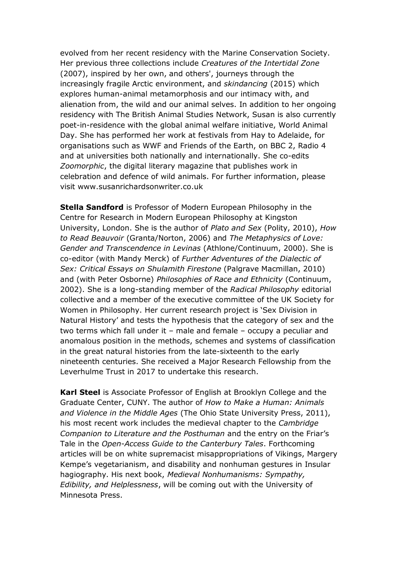evolved from her recent residency with the Marine Conservation Society. Her previous three collections include *Creatures of the Intertidal Zone* (2007), inspired by her own, and others', journeys through the increasingly fragile Arctic environment, and *skindancing* (2015) which explores human-animal metamorphosis and our intimacy with, and alienation from, the wild and our animal selves. In addition to her ongoing residency with The British Animal Studies Network, Susan is also currently poet-in-residence with the global animal welfare initiative, World Animal Day. She has performed her work at festivals from Hay to Adelaide, for organisations such as WWF and Friends of the Earth, on BBC 2, Radio 4 and at universities both nationally and internationally. She co-edits *Zoomorphic*, the digital literary magazine that publishes work in celebration and defence of wild animals. For further information, please visit www.susanrichardsonwriter.co.uk

**Stella Sandford** is Professor of Modern European Philosophy in the Centre for Research in Modern European Philosophy at Kingston University, London. She is the author of *Plato and Sex* (Polity, 2010), *How to Read Beauvoir* (Granta/Norton, 2006) and *The Metaphysics of Love: Gender and Transcendence in Levinas* (Athlone/Continuum, 2000). She is co-editor (with Mandy Merck) of *Further Adventures of the Dialectic of Sex: Critical Essays on Shulamith Firestone* (Palgrave Macmillan, 2010) and (with Peter Osborne) *Philosophies of Race and Ethnicity* (Continuum, 2002). She is a long-standing member of the *Radical Philosophy* editorial collective and a member of the executive committee of the UK Society for Women in Philosophy. Her current research project is 'Sex Division in Natural History' and tests the hypothesis that the category of sex and the two terms which fall under it – male and female – occupy a peculiar and anomalous position in the methods, schemes and systems of classification in the great natural histories from the late-sixteenth to the early nineteenth centuries. She received a Major Research Fellowship from the Leverhulme Trust in 2017 to undertake this research.

**Karl Steel** is Associate Professor of English at Brooklyn College and the Graduate Center, CUNY. The author of *How to Make a Human: Animals and Violence in the Middle Ages* (The Ohio State University Press, 2011), his most recent work includes the medieval chapter to the *Cambridge Companion to Literature and the Posthuman* and the entry on the Friar's Tale in the *Open-Access Guide to the Canterbury Tales*. Forthcoming articles will be on white supremacist misappropriations of Vikings, Margery Kempe's vegetarianism, and disability and nonhuman gestures in Insular hagiography. His next book, *Medieval Nonhumanisms: Sympathy, Edibility, and Helplessness*, will be coming out with the University of Minnesota Press.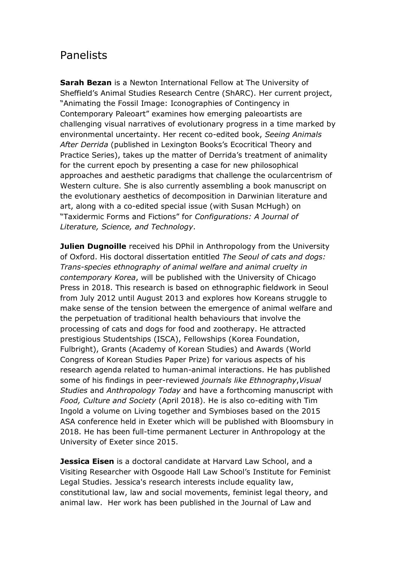## Panelists

**Sarah Bezan** is a Newton International Fellow at The University of Sheffield's Animal Studies Research Centre (ShARC). Her current project, "Animating the Fossil Image: Iconographies of Contingency in Contemporary Paleoart" examines how emerging paleoartists are challenging visual narratives of evolutionary progress in a time marked by environmental uncertainty. Her recent co-edited book, *Seeing Animals After Derrida* (published in Lexington Books's Ecocritical Theory and Practice Series), takes up the matter of Derrida's treatment of animality for the current epoch by presenting a case for new philosophical approaches and aesthetic paradigms that challenge the ocularcentrism of Western culture. She is also currently assembling a book manuscript on the evolutionary aesthetics of decomposition in Darwinian literature and art, along with a co-edited special issue (with Susan McHugh) on "Taxidermic Forms and Fictions" for *Configurations: A Journal of Literature, Science, and Technology*.

**Julien Dugnoille** received his DPhil in Anthropology from the University of Oxford. His doctoral dissertation entitled *The Seoul of cats and dogs: Trans-species ethnography of animal welfare and animal cruelty in contemporary Korea*, will be published with the University of Chicago Press in 2018. This research is based on ethnographic fieldwork in Seoul from July 2012 until August 2013 and explores how Koreans struggle to make sense of the tension between the emergence of animal welfare and the perpetuation of traditional health behaviours that involve the processing of cats and dogs for food and zootherapy. He attracted prestigious Studentships (ISCA), Fellowships (Korea Foundation, Fulbright), Grants (Academy of Korean Studies) and Awards (World Congress of Korean Studies Paper Prize) for various aspects of his research agenda related to human-animal interactions. He has published some of his findings in peer-reviewed *journals like Ethnography*,*Visual Studies* and *Anthropology Today* and have a forthcoming manuscript with *Food, Culture and Society* (April 2018). He is also co-editing with Tim Ingold a volume on Living together and Symbioses based on the 2015 ASA conference held in Exeter which will be published with Bloomsbury in 2018. He has been full-time permanent Lecturer in Anthropology at the University of Exeter since 2015.

**Jessica Eisen** is a doctoral candidate at Harvard Law School, and a Visiting Researcher with Osgoode Hall Law School's Institute for Feminist Legal Studies. Jessica's research interests include equality law, constitutional law, law and social movements, feminist legal theory, and animal law. Her work has been published in the Journal of Law and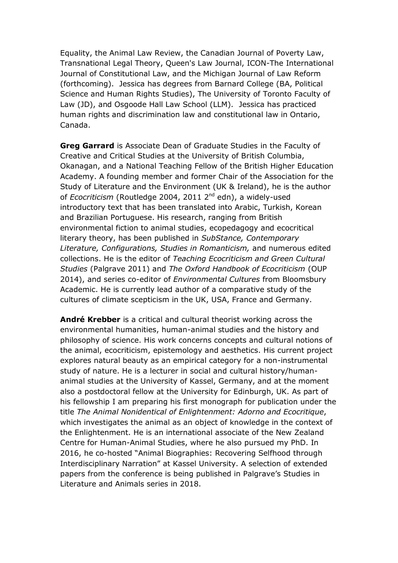Equality, the Animal Law Review, the Canadian Journal of Poverty Law, Transnational Legal Theory, Queen's Law Journal, ICON-The International Journal of Constitutional Law, and the Michigan Journal of Law Reform (forthcoming). Jessica has degrees from Barnard College (BA, Political Science and Human Rights Studies), The University of Toronto Faculty of Law (JD), and Osgoode Hall Law School (LLM). Jessica has practiced human rights and discrimination law and constitutional law in Ontario, Canada.

**Greg Garrard** is Associate Dean of Graduate Studies in the Faculty of Creative and Critical Studies at the University of British Columbia, Okanagan, and a National Teaching Fellow of the British Higher Education Academy. A founding member and former Chair of the Association for the Study of Literature and the Environment (UK & Ireland), he is the author of *Ecocriticism* (Routledge 2004, 2011 2<sup>nd</sup> edn), a widely-used introductory text that has been translated into Arabic, Turkish, Korean and Brazilian Portuguese. His research, ranging from British environmental fiction to animal studies, ecopedagogy and ecocritical literary theory, has been published in *SubStance, Contemporary Literature, Configurations, Studies in Romanticism,* and numerous edited collections. He is the editor of *Teaching Ecocriticism and Green Cultural Studies* (Palgrave 2011) and *The Oxford Handbook of Ecocriticism* (OUP 2014), and series co-editor of *Environmental Cultures* from Bloomsbury Academic. He is currently lead author of a comparative study of the cultures of climate scepticism in the UK, USA, France and Germany.

**André Krebber** is a critical and cultural theorist working across the environmental humanities, human-animal studies and the history and philosophy of science. His work concerns concepts and cultural notions of the animal, ecocriticism, epistemology and aesthetics. His current project explores natural beauty as an empirical category for a non-instrumental study of nature. He is a lecturer in social and cultural history/humananimal studies at the University of Kassel, Germany, and at the moment also a postdoctoral fellow at the University for Edinburgh, UK. As part of his fellowship I am preparing his first monograph for publication under the title *The Animal Nonidentical of Enlightenment: Adorno and Ecocritique*, which investigates the animal as an object of knowledge in the context of the Enlightenment. He is an international associate of the New Zealand Centre for Human-Animal Studies, where he also pursued my PhD. In 2016, he co-hosted "Animal Biographies: Recovering Selfhood through Interdisciplinary Narration" at Kassel University. A selection of extended papers from the conference is being published in Palgrave's Studies in Literature and Animals series in 2018.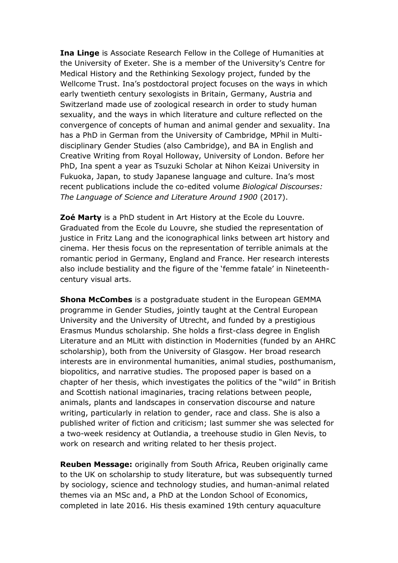**Ina Linge** is Associate Research Fellow in the College of Humanities at the University of Exeter. She is a member of the University's Centre for Medical History and the Rethinking Sexology project, funded by the Wellcome Trust. Ina's postdoctoral project focuses on the ways in which early twentieth century sexologists in Britain, Germany, Austria and Switzerland made use of zoological research in order to study human sexuality, and the ways in which literature and culture reflected on the convergence of concepts of human and animal gender and sexuality. Ina has a PhD in German from the University of Cambridge, MPhil in Multidisciplinary Gender Studies (also Cambridge), and BA in English and Creative Writing from Royal Holloway, University of London. Before her PhD, Ina spent a year as Tsuzuki Scholar at Nihon Keizai University in Fukuoka, Japan, to study Japanese language and culture. Ina's most recent publications include the co-edited volume *Biological Discourses: The Language of Science and Literature Around 1900* (2017).

**Zoé Marty** is a PhD student in Art History at the Ecole du Louvre. Graduated from the Ecole du Louvre, she studied the representation of justice in Fritz Lang and the iconographical links between art history and cinema. Her thesis focus on the representation of terrible animals at the romantic period in Germany, England and France. Her research interests also include bestiality and the figure of the 'femme fatale' in Nineteenthcentury visual arts.

**Shona McCombes** is a postgraduate student in the European GEMMA programme in Gender Studies, jointly taught at the Central European University and the University of Utrecht, and funded by a prestigious Erasmus Mundus scholarship. She holds a first-class degree in English Literature and an MLitt with distinction in Modernities (funded by an AHRC scholarship), both from the University of Glasgow. Her broad research interests are in environmental humanities, animal studies, posthumanism, biopolitics, and narrative studies. The proposed paper is based on a chapter of her thesis, which investigates the politics of the "wild" in British and Scottish national imaginaries, tracing relations between people, animals, plants and landscapes in conservation discourse and nature writing, particularly in relation to gender, race and class. She is also a published writer of fiction and criticism; last summer she was selected for a two-week residency at Outlandia, a treehouse studio in Glen Nevis, to work on research and writing related to her thesis project.

**Reuben Message:** originally from South Africa, Reuben originally came to the UK on scholarship to study literature, but was subsequently turned by sociology, science and technology studies, and human-animal related themes via an MSc and, a PhD at the London School of Economics, completed in late 2016. His thesis examined 19th century aquaculture